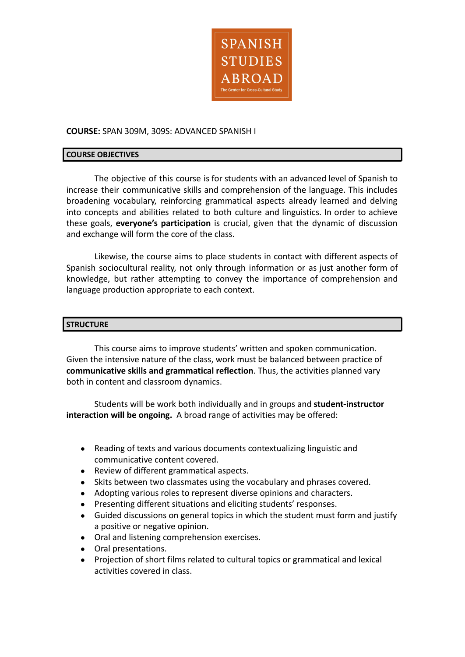

## **COURSE:** SPAN 309M, 309S: ADVANCED SPANISH I

#### **COURSE OBJECTIVES**

The objective of this course is for students with an advanced level of Spanish to increase their communicative skills and comprehension of the language. This includes broadening vocabulary, reinforcing grammatical aspects already learned and delving into concepts and abilities related to both culture and linguistics. In order to achieve these goals, **everyone's participation** is crucial, given that the dynamic of discussion and exchange will form the core of the class.

Likewise, the course aims to place students in contact with different aspects of Spanish sociocultural reality, not only through information or as just another form of knowledge, but rather attempting to convey the importance of comprehension and language production appropriate to each context.

#### **STRUCTURE**

This course aims to improve students' written and spoken communication. Given the intensive nature of the class, work must be balanced between practice of **communicative skills and grammatical reflection**. Thus, the activities planned vary both in content and classroom dynamics.

Students will be work both individually and in groups and **student-instructor interaction will be ongoing.** A broad range of activities may be offered:

- Reading of texts and various documents contextualizing linguistic and communicative content covered.
- Review of different grammatical aspects.
- Skits between two classmates using the vocabulary and phrases covered.
- Adopting various roles to represent diverse opinions and characters.
- Presenting different situations and eliciting students' responses.
- Guided discussions on general topics in which the student must form and justify a positive or negative opinion.
- Oral and listening comprehension exercises.
- Oral presentations.
- Projection of short films related to cultural topics or grammatical and lexical activities covered in class.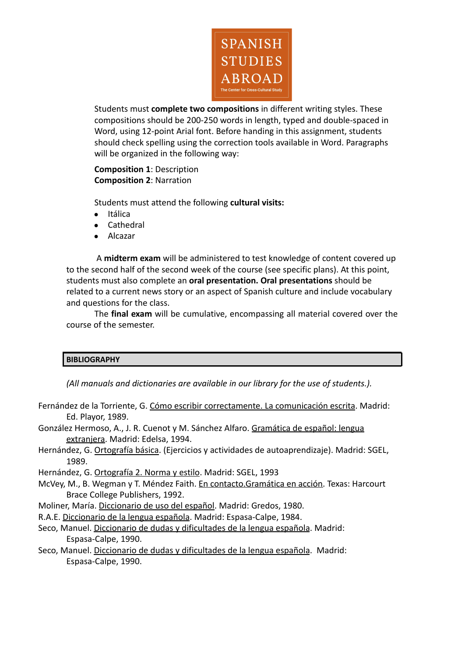

Students must **complete two compositions** in different writing styles. These compositions should be 200-250 words in length, typed and double-spaced in Word, using 12-point Arial font. Before handing in this assignment, students should check spelling using the correction tools available in Word. Paragraphs will be organized in the following way:

# **Composition 1**: Description **Composition 2**: Narration

Students must attend the following **cultural visits:**

- Itálica
- Cathedral
- Alcazar

A **midterm exam** will be administered to test knowledge of content covered up to the second half of the second week of the course (see specific plans). At this point, students must also complete an **oral presentation. Oral presentations** should be related to a current news story or an aspect of Spanish culture and include vocabulary and questions for the class.

The **final exam** will be cumulative, encompassing all material covered over the course of the semester.

# **BIBLIOGRAPHY**

*(All manuals and dictionaries are available in our library for the use of students.).*

- Fernández de la Torriente, G. Cómo escribir correctamente. La comunicación escrita. Madrid: Ed. Playor, 1989.
- González Hermoso, A., J. R. Cuenot y M. Sánchez Alfaro. Gramática de español: lengua extranjera. Madrid: Edelsa, 1994.
- Hernández, G. Ortografía básica. (Ejercicios y actividades de autoaprendizaje). Madrid: SGEL, 1989.
- Hernández, G. Ortografía 2. Norma y estilo. Madrid: SGEL, 1993
- McVey, M., B. Wegman y T. Méndez Faith. En contacto.Gramática en acción. Texas: Harcourt Brace College Publishers, 1992.
- Moliner, María. Diccionario de uso del español. Madrid: Gredos, 1980.
- R.A.E. Diccionario de la lengua española. Madrid: Espasa-Calpe, 1984.
- Seco, Manuel. Diccionario de dudas y dificultades de la lengua española. Madrid: Espasa-Calpe, 1990.
- Seco, Manuel. Diccionario de dudas y dificultades de la lengua española. Madrid: Espasa-Calpe, 1990.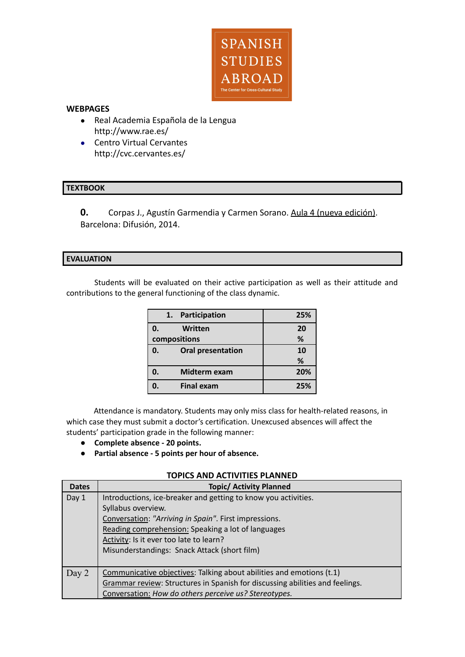

### **WEBPAGES**

- Real Academia Española de la Lengua http://www.rae.es/
- Centro Virtual Cervantes http://cvc.cervantes.es/

## **TEXTBOOK**

**0.** Corpas J., Agustín Garmendia y Carmen Sorano. Aula 4 (nueva edición). Barcelona: Difusión, 2014.

## **EVALUATION**

Students will be evaluated on their active participation as well as their attitude and contributions to the general functioning of the class dynamic.

|              | 1. | Participation            | 25% |
|--------------|----|--------------------------|-----|
| 0.           |    | Written                  | 20  |
| compositions |    |                          | %   |
| 0.           |    | <b>Oral presentation</b> | 10  |
|              |    |                          | %   |
|              |    | Midterm exam             | 20% |
|              |    | <b>Final exam</b>        | 25% |

Attendance is mandatory. Students may only miss class for health-related reasons, in which case they must submit a doctor's certification. Unexcused absences will affect the students' participation grade in the following manner:

- **● Complete absence - 20 points.**
- **Partial absence - 5 points per hour of absence.**

## **TOPICS AND ACTIVITIES PLANNED**

| <b>Dates</b> | <b>Topic/ Activity Planned</b>                                               |  |
|--------------|------------------------------------------------------------------------------|--|
| Day 1        | Introductions, ice-breaker and getting to know you activities.               |  |
|              | Syllabus overview.                                                           |  |
|              | Conversation: "Arriving in Spain". First impressions.                        |  |
|              | Reading comprehension: Speaking a lot of languages                           |  |
|              | Activity: Is it ever too late to learn?                                      |  |
|              | Misunderstandings: Snack Attack (short film)                                 |  |
|              |                                                                              |  |
| Day $2$      | Communicative objectives: Talking about abilities and emotions (t.1)         |  |
|              | Grammar review: Structures in Spanish for discussing abilities and feelings. |  |
|              | Conversation: How do others perceive us? Stereotypes.                        |  |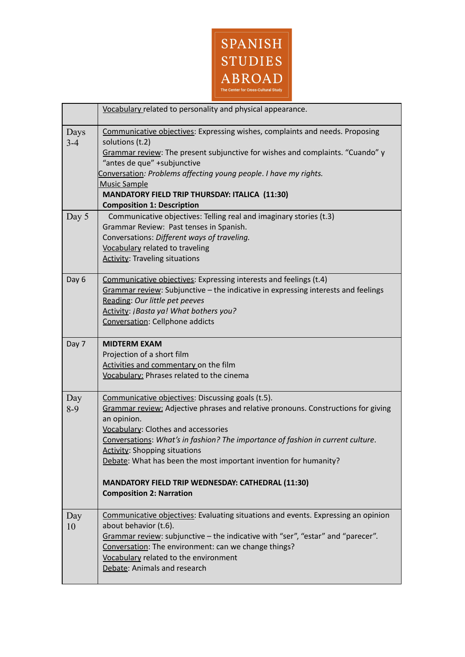

|                 | Vocabulary related to personality and physical appearance.                                                                                                                                                                                                                                                                                                                                                                                                                                 |
|-----------------|--------------------------------------------------------------------------------------------------------------------------------------------------------------------------------------------------------------------------------------------------------------------------------------------------------------------------------------------------------------------------------------------------------------------------------------------------------------------------------------------|
| Days<br>$3 - 4$ | Communicative objectives: Expressing wishes, complaints and needs. Proposing<br>solutions (t.2)<br>Grammar review: The present subjunctive for wishes and complaints. "Cuando" y<br>"antes de que" +subjunctive<br>Conversation: Problems affecting young people. I have my rights.<br><b>Music Sample</b><br>MANDATORY FIELD TRIP THURSDAY: ITALICA (11:30)<br><b>Composition 1: Description</b>                                                                                          |
| Day 5           | Communicative objectives: Telling real and imaginary stories (t.3)<br>Grammar Review: Past tenses in Spanish.<br>Conversations: Different ways of traveling.<br>Vocabulary related to traveling<br><b>Activity: Traveling situations</b>                                                                                                                                                                                                                                                   |
| Day 6           | Communicative objectives: Expressing interests and feelings (t.4)<br>Grammar review: Subjunctive - the indicative in expressing interests and feelings<br>Reading: Our little pet peeves<br>Activity: ¡Basta ya! What bothers you?<br>Conversation: Cellphone addicts                                                                                                                                                                                                                      |
| Day 7           | <b>MIDTERM EXAM</b><br>Projection of a short film<br>Activities and commentary on the film<br>Vocabulary: Phrases related to the cinema                                                                                                                                                                                                                                                                                                                                                    |
| Day<br>$8-9$    | Communicative objectives: Discussing goals (t.5).<br>Grammar review: Adjective phrases and relative pronouns. Constructions for giving<br>an opinion.<br>Vocabulary: Clothes and accessories<br>Conversations: What's in fashion? The importance of fashion in current culture.<br><b>Activity: Shopping situations</b><br>Debate: What has been the most important invention for humanity?<br><b>MANDATORY FIELD TRIP WEDNESDAY: CATHEDRAL (11:30)</b><br><b>Composition 2: Narration</b> |
| Day<br>10       | Communicative objectives: Evaluating situations and events. Expressing an opinion<br>about behavior (t.6).<br>Grammar review: subjunctive - the indicative with "ser", "estar" and "parecer".<br>Conversation: The environment: can we change things?<br>Vocabulary related to the environment<br>Debate: Animals and research                                                                                                                                                             |